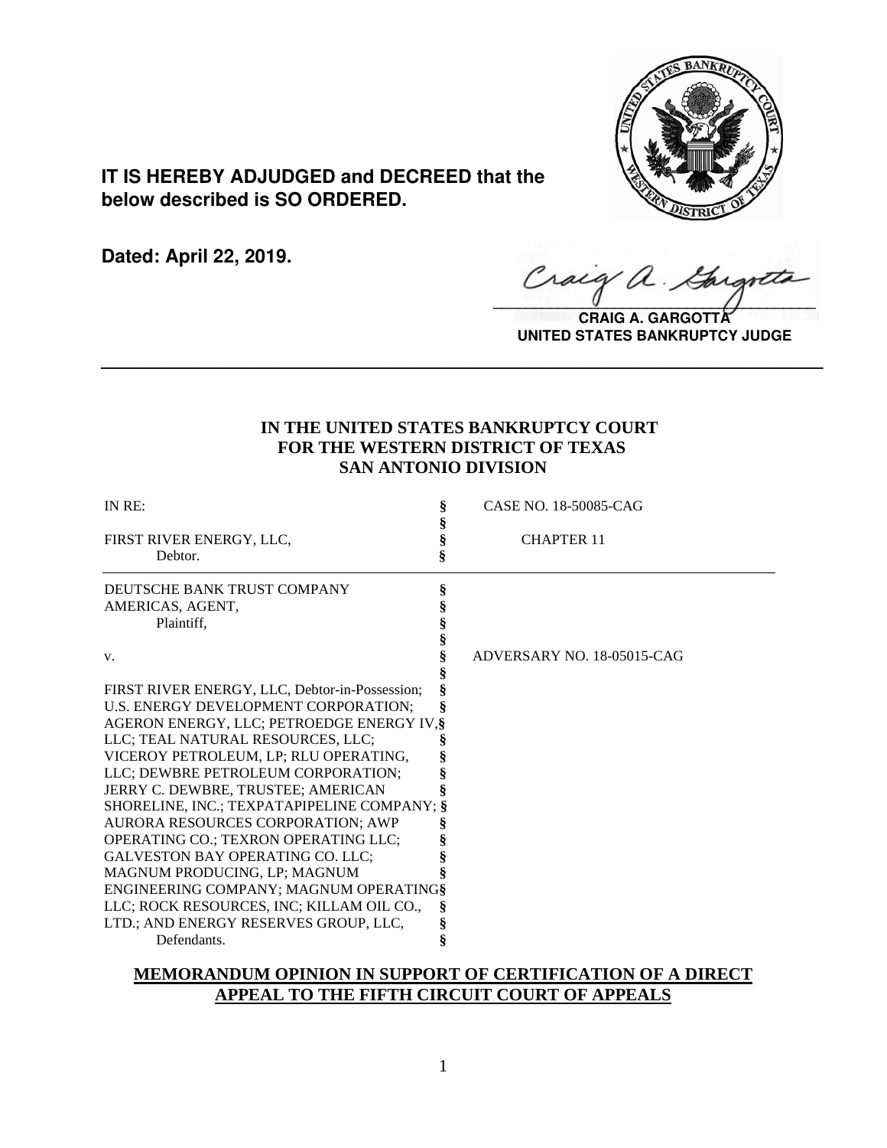

# **IT IS HEREBY ADJUDGED and DECREED that the below described is SO ORDERED.**

**Dated: April 22, 2019.**

Craig a.

**CRAIG A. GARGOTTA UNITED STATES BANKRUPTCY JUDGE**

# **IN THE UNITED STATES BANKRUPTCY COURT FOR THE WESTERN DISTRICT OF TEXAS SAN ANTONIO DIVISION**

**\_\_\_\_\_\_\_\_\_\_\_\_\_\_\_\_\_\_\_\_\_\_\_\_\_\_\_\_\_\_\_\_\_\_\_\_\_\_\_\_\_\_\_\_\_\_\_\_\_\_\_\_\_\_\_\_\_\_\_\_\_\_\_\_**

| IN RE:                                         | ş | CASE NO. 18-50085-CAG      |
|------------------------------------------------|---|----------------------------|
|                                                |   |                            |
| FIRST RIVER ENERGY, LLC,                       |   | <b>CHAPTER 11</b>          |
| Debtor.                                        |   |                            |
| DEUTSCHE BANK TRUST COMPANY                    |   |                            |
| AMERICAS, AGENT,                               |   |                            |
| Plaintiff.                                     |   |                            |
|                                                |   |                            |
| V.                                             |   | ADVERSARY NO. 18-05015-CAG |
|                                                |   |                            |
| FIRST RIVER ENERGY, LLC, Debtor-in-Possession; |   |                            |
| U.S. ENERGY DEVELOPMENT CORPORATION;           |   |                            |
| AGERON ENERGY, LLC; PETROEDGE ENERGY IV. §     |   |                            |
| LLC; TEAL NATURAL RESOURCES, LLC;              |   |                            |
| VICEROY PETROLEUM, LP; RLU OPERATING,          |   |                            |
| LLC; DEWBRE PETROLEUM CORPORATION;             |   |                            |
| JERRY C. DEWBRE, TRUSTEE; AMERICAN             |   |                            |
| SHORELINE, INC.; TEXPATAPIPELINE COMPANY; §    |   |                            |
| AURORA RESOURCES CORPORATION; AWP              |   |                            |
| OPERATING CO.; TEXRON OPERATING LLC;           |   |                            |
| <b>GALVESTON BAY OPERATING CO. LLC:</b>        |   |                            |
| MAGNUM PRODUCING, LP; MAGNUM                   |   |                            |
| ENGINEERING COMPANY; MAGNUM OPERATING§         |   |                            |
| LLC; ROCK RESOURCES, INC; KILLAM OIL CO.,      | Š |                            |
| LTD.; AND ENERGY RESERVES GROUP, LLC,          | ş |                            |
| Defendants.                                    | ş |                            |

# **MEMORANDUM OPINION IN SUPPORT OF CERTIFICATION OF A DIRECT APPEAL TO THE FIFTH CIRCUIT COURT OF APPEALS**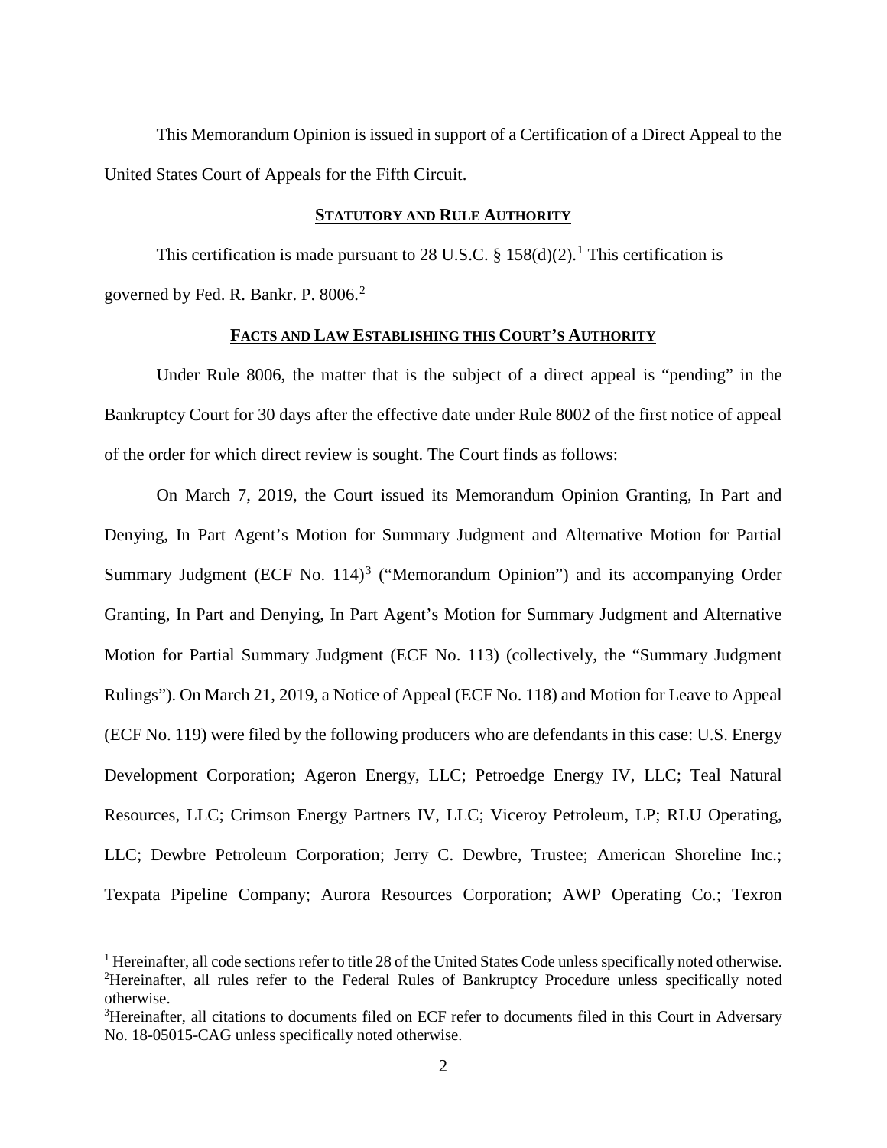This Memorandum Opinion is issued in support of a Certification of a Direct Appeal to the United States Court of Appeals for the Fifth Circuit.

## **STATUTORY AND RULE AUTHORITY**

This certification is made pursuant to 28 U.S.C.  $\S$  [1](#page-1-0)58(d)(2).<sup>1</sup> This certification is governed by Fed. R. Bankr. P. 8006.[2](#page-1-1)

# **FACTS AND LAW ESTABLISHING THIS COURT'S AUTHORITY**

Under Rule 8006, the matter that is the subject of a direct appeal is "pending" in the Bankruptcy Court for 30 days after the effective date under Rule 8002 of the first notice of appeal of the order for which direct review is sought. The Court finds as follows:

On March 7, 2019, the Court issued its Memorandum Opinion Granting, In Part and Denying, In Part Agent's Motion for Summary Judgment and Alternative Motion for Partial Summary Judgment (ECF No.  $114$ )<sup>[3](#page-1-2)</sup> ("Memorandum Opinion") and its accompanying Order Granting, In Part and Denying, In Part Agent's Motion for Summary Judgment and Alternative Motion for Partial Summary Judgment (ECF No. 113) (collectively, the "Summary Judgment Rulings"). On March 21, 2019, a Notice of Appeal (ECF No. 118) and Motion for Leave to Appeal (ECF No. 119) were filed by the following producers who are defendants in this case: U.S. Energy Development Corporation; Ageron Energy, LLC; Petroedge Energy IV, LLC; Teal Natural Resources, LLC; Crimson Energy Partners IV, LLC; Viceroy Petroleum, LP; RLU Operating, LLC; Dewbre Petroleum Corporation; Jerry C. Dewbre, Trustee; American Shoreline Inc.; Texpata Pipeline Company; Aurora Resources Corporation; AWP Operating Co.; Texron

<span id="page-1-1"></span><span id="page-1-0"></span><sup>&</sup>lt;sup>1</sup> Hereinafter, all code sections refer to title 28 of the United States Code unless specifically noted otherwise. <sup>2</sup>Hereinafter, all rules refer to the Federal Rules of Bankruptcy Procedure unless specifically noted otherwise.

<span id="page-1-2"></span><sup>&</sup>lt;sup>3</sup>Hereinafter, all citations to documents filed on ECF refer to documents filed in this Court in Adversary No. 18-05015-CAG unless specifically noted otherwise.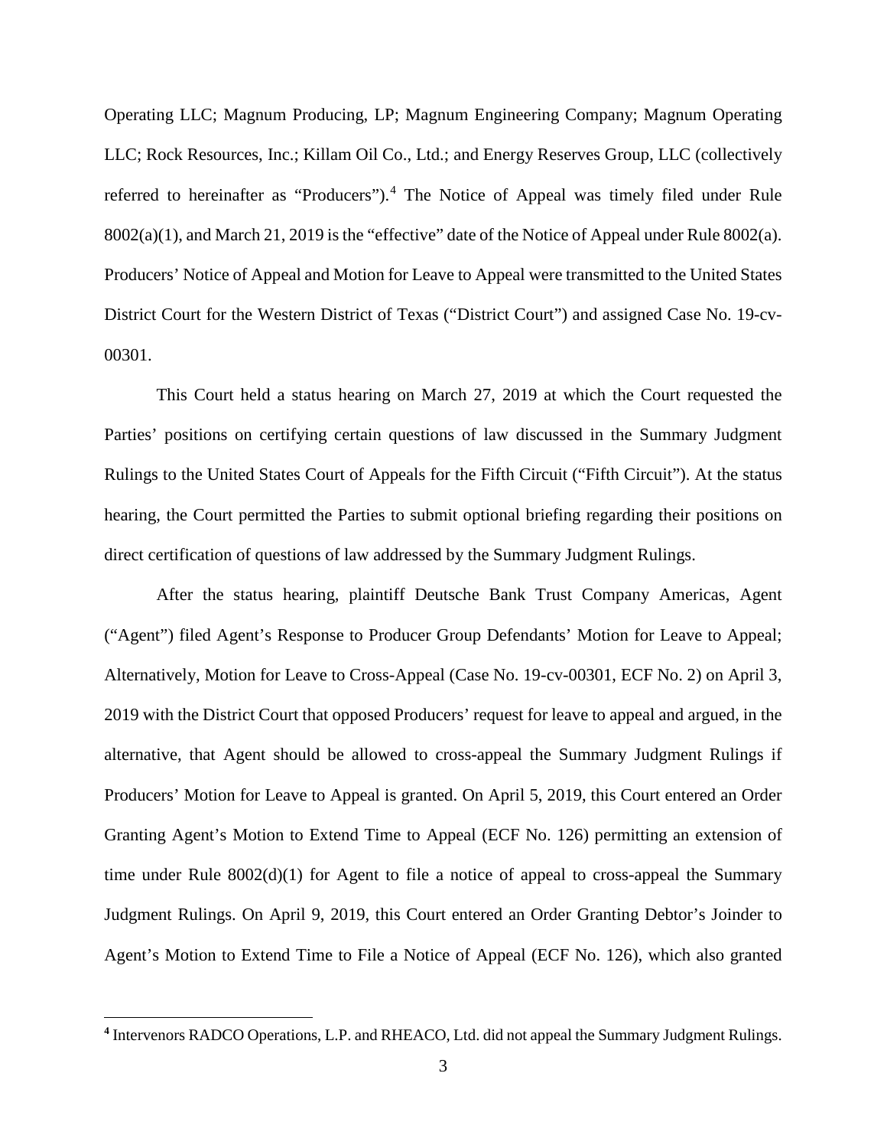Operating LLC; Magnum Producing, LP; Magnum Engineering Company; Magnum Operating LLC; Rock Resources, Inc.; Killam Oil Co., Ltd.; and Energy Reserves Group, LLC (collectively referred to hereinafter as "Producers").<sup>[4](#page-2-0)</sup> The Notice of Appeal was timely filed under Rule 8002(a)(1), and March 21, 2019 is the "effective" date of the Notice of Appeal under Rule 8002(a). Producers' Notice of Appeal and Motion for Leave to Appeal were transmitted to the United States District Court for the Western District of Texas ("District Court") and assigned Case No. 19-cv-00301.

This Court held a status hearing on March 27, 2019 at which the Court requested the Parties' positions on certifying certain questions of law discussed in the Summary Judgment Rulings to the United States Court of Appeals for the Fifth Circuit ("Fifth Circuit"). At the status hearing, the Court permitted the Parties to submit optional briefing regarding their positions on direct certification of questions of law addressed by the Summary Judgment Rulings.

After the status hearing, plaintiff Deutsche Bank Trust Company Americas, Agent ("Agent") filed Agent's Response to Producer Group Defendants' Motion for Leave to Appeal; Alternatively, Motion for Leave to Cross-Appeal (Case No. 19-cv-00301, ECF No. 2) on April 3, 2019 with the District Court that opposed Producers' request for leave to appeal and argued, in the alternative, that Agent should be allowed to cross-appeal the Summary Judgment Rulings if Producers' Motion for Leave to Appeal is granted. On April 5, 2019, this Court entered an Order Granting Agent's Motion to Extend Time to Appeal (ECF No. 126) permitting an extension of time under Rule  $8002(d)(1)$  for Agent to file a notice of appeal to cross-appeal the Summary Judgment Rulings. On April 9, 2019, this Court entered an Order Granting Debtor's Joinder to Agent's Motion to Extend Time to File a Notice of Appeal (ECF No. 126), which also granted

 $\overline{a}$ 

<span id="page-2-0"></span>**<sup>4</sup>** Intervenors RADCO Operations, L.P. and RHEACO, Ltd. did not appeal the Summary Judgment Rulings.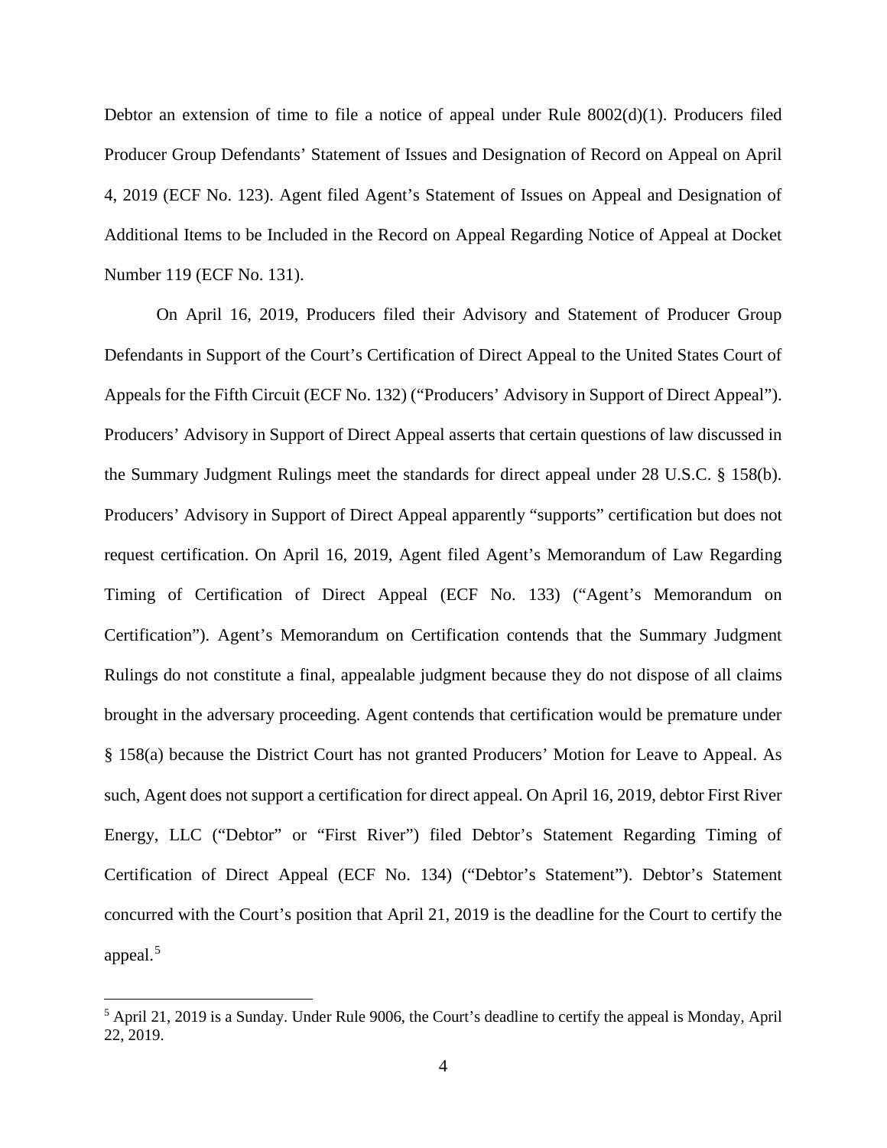Debtor an extension of time to file a notice of appeal under Rule 8002(d)(1). Producers filed Producer Group Defendants' Statement of Issues and Designation of Record on Appeal on April 4, 2019 (ECF No. 123). Agent filed Agent's Statement of Issues on Appeal and Designation of Additional Items to be Included in the Record on Appeal Regarding Notice of Appeal at Docket Number 119 (ECF No. 131).

On April 16, 2019, Producers filed their Advisory and Statement of Producer Group Defendants in Support of the Court's Certification of Direct Appeal to the United States Court of Appeals for the Fifth Circuit (ECF No. 132) ("Producers' Advisory in Support of Direct Appeal"). Producers' Advisory in Support of Direct Appeal asserts that certain questions of law discussed in the Summary Judgment Rulings meet the standards for direct appeal under 28 U.S.C. § 158(b). Producers' Advisory in Support of Direct Appeal apparently "supports" certification but does not request certification. On April 16, 2019, Agent filed Agent's Memorandum of Law Regarding Timing of Certification of Direct Appeal (ECF No. 133) ("Agent's Memorandum on Certification"). Agent's Memorandum on Certification contends that the Summary Judgment Rulings do not constitute a final, appealable judgment because they do not dispose of all claims brought in the adversary proceeding. Agent contends that certification would be premature under § 158(a) because the District Court has not granted Producers' Motion for Leave to Appeal. As such, Agent does not support a certification for direct appeal. On April 16, 2019, debtor First River Energy, LLC ("Debtor" or "First River") filed Debtor's Statement Regarding Timing of Certification of Direct Appeal (ECF No. 134) ("Debtor's Statement"). Debtor's Statement concurred with the Court's position that April 21, 2019 is the deadline for the Court to certify the appeal.<sup>[5](#page-3-0)</sup>

<span id="page-3-0"></span><sup>&</sup>lt;sup>5</sup> April 21, 2019 is a Sunday. Under Rule 9006, the Court's deadline to certify the appeal is Monday, April 22, 2019.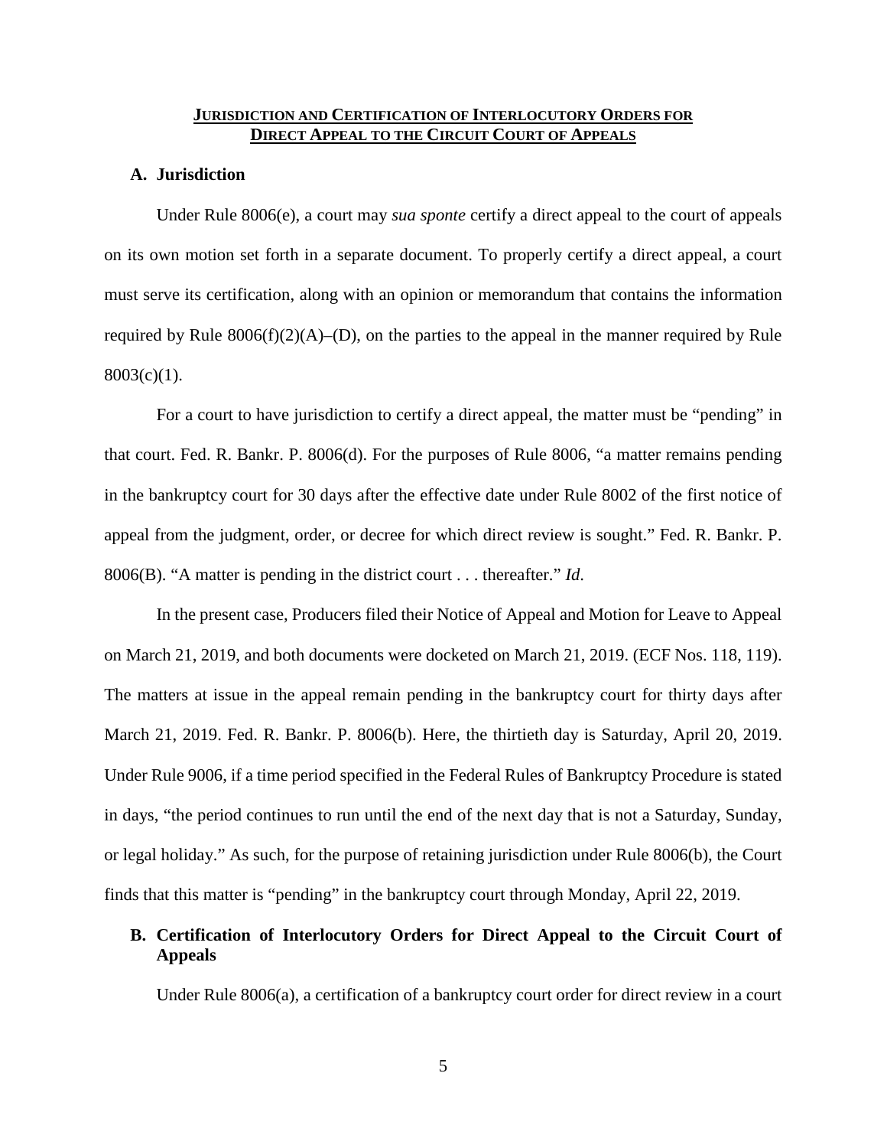## **JURISDICTION AND CERTIFICATION OF INTERLOCUTORY ORDERS FOR DIRECT APPEAL TO THE CIRCUIT COURT OF APPEALS**

### **A. Jurisdiction**

Under Rule 8006(e), a court may *sua sponte* certify a direct appeal to the court of appeals on its own motion set forth in a separate document. To properly certify a direct appeal, a court must serve its certification, along with an opinion or memorandum that contains the information required by Rule  $8006(f)(2)(A)$ –(D), on the parties to the appeal in the manner required by Rule  $8003(c)(1)$ .

For a court to have jurisdiction to certify a direct appeal, the matter must be "pending" in that court. Fed. R. Bankr. P. 8006(d). For the purposes of Rule 8006, "a matter remains pending in the bankruptcy court for 30 days after the effective date under Rule 8002 of the first notice of appeal from the judgment, order, or decree for which direct review is sought." Fed. R. Bankr. P. 8006(B). "A matter is pending in the district court . . . thereafter." *Id*.

In the present case, Producers filed their Notice of Appeal and Motion for Leave to Appeal on March 21, 2019, and both documents were docketed on March 21, 2019. (ECF Nos. 118, 119). The matters at issue in the appeal remain pending in the bankruptcy court for thirty days after March 21, 2019. Fed. R. Bankr. P. 8006(b). Here, the thirtieth day is Saturday, April 20, 2019. Under Rule 9006, if a time period specified in the Federal Rules of Bankruptcy Procedure is stated in days, "the period continues to run until the end of the next day that is not a Saturday, Sunday, or legal holiday." As such, for the purpose of retaining jurisdiction under Rule 8006(b), the Court finds that this matter is "pending" in the bankruptcy court through Monday, April 22, 2019.

# **B. Certification of Interlocutory Orders for Direct Appeal to the Circuit Court of Appeals**

Under Rule 8006(a), a certification of a bankruptcy court order for direct review in a court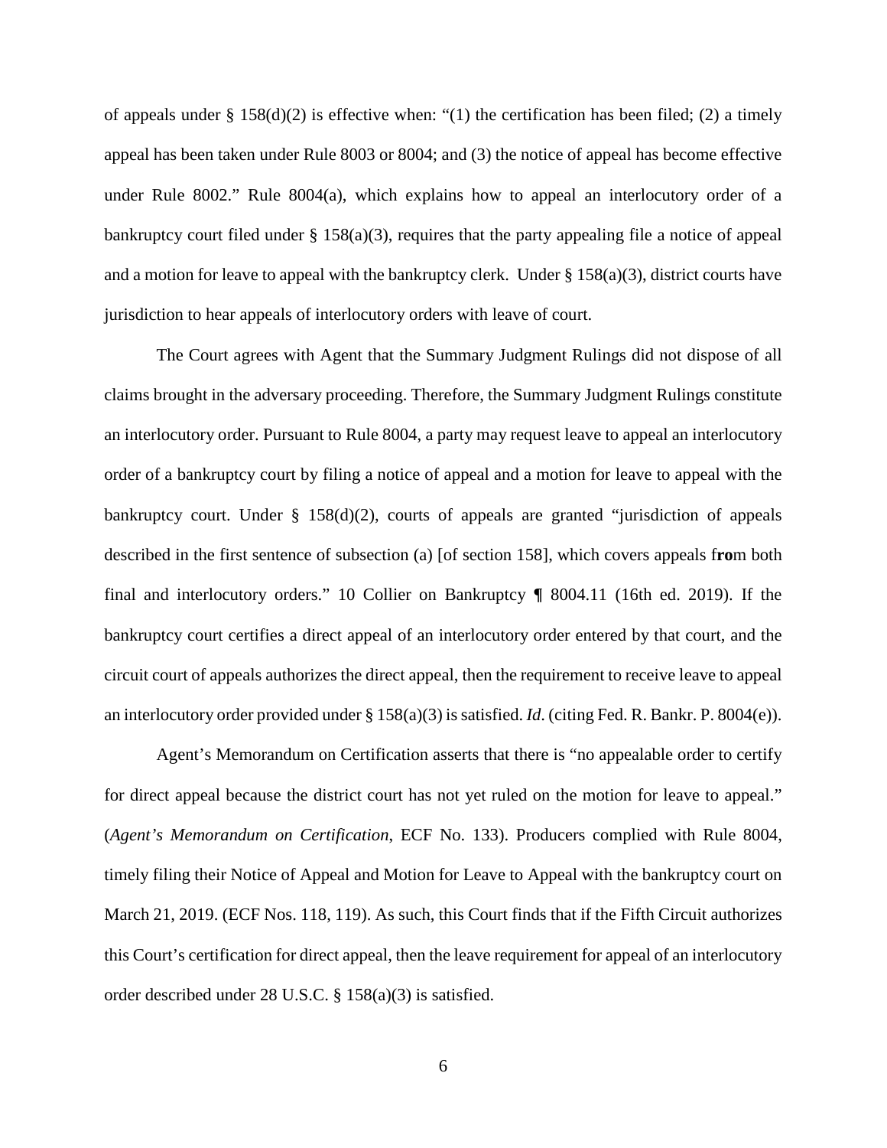of appeals under § 158(d)(2) is effective when: "(1) the certification has been filed; (2) a timely appeal has been taken under Rule 8003 or 8004; and (3) the notice of appeal has become effective under Rule 8002." Rule 8004(a), which explains how to appeal an interlocutory order of a bankruptcy court filed under § 158(a)(3), requires that the party appealing file a notice of appeal and a motion for leave to appeal with the bankruptcy clerk. Under  $\S$  158(a)(3), district courts have jurisdiction to hear appeals of interlocutory orders with leave of court.

The Court agrees with Agent that the Summary Judgment Rulings did not dispose of all claims brought in the adversary proceeding. Therefore, the Summary Judgment Rulings constitute an interlocutory order. Pursuant to Rule 8004, a party may request leave to appeal an interlocutory order of a bankruptcy court by filing a notice of appeal and a motion for leave to appeal with the bankruptcy court. Under  $\S$  158(d)(2), courts of appeals are granted "jurisdiction of appeals described in the first sentence of subsection (a) [of section 158], which covers appeals f**ro**m both final and interlocutory orders." 10 Collier on Bankruptcy **¶** 8004.11 (16th ed. 2019). If the bankruptcy court certifies a direct appeal of an interlocutory order entered by that court, and the circuit court of appeals authorizes the direct appeal, then the requirement to receive leave to appeal an interlocutory order provided under § 158(a)(3) is satisfied. *Id*. (citing Fed. R. Bankr. P. 8004(e)).

Agent's Memorandum on Certification asserts that there is "no appealable order to certify for direct appeal because the district court has not yet ruled on the motion for leave to appeal." (*Agent's Memorandum on Certification*, ECF No. 133). Producers complied with Rule 8004, timely filing their Notice of Appeal and Motion for Leave to Appeal with the bankruptcy court on March 21, 2019. (ECF Nos. 118, 119). As such, this Court finds that if the Fifth Circuit authorizes this Court's certification for direct appeal, then the leave requirement for appeal of an interlocutory order described under 28 U.S.C. § 158(a)(3) is satisfied.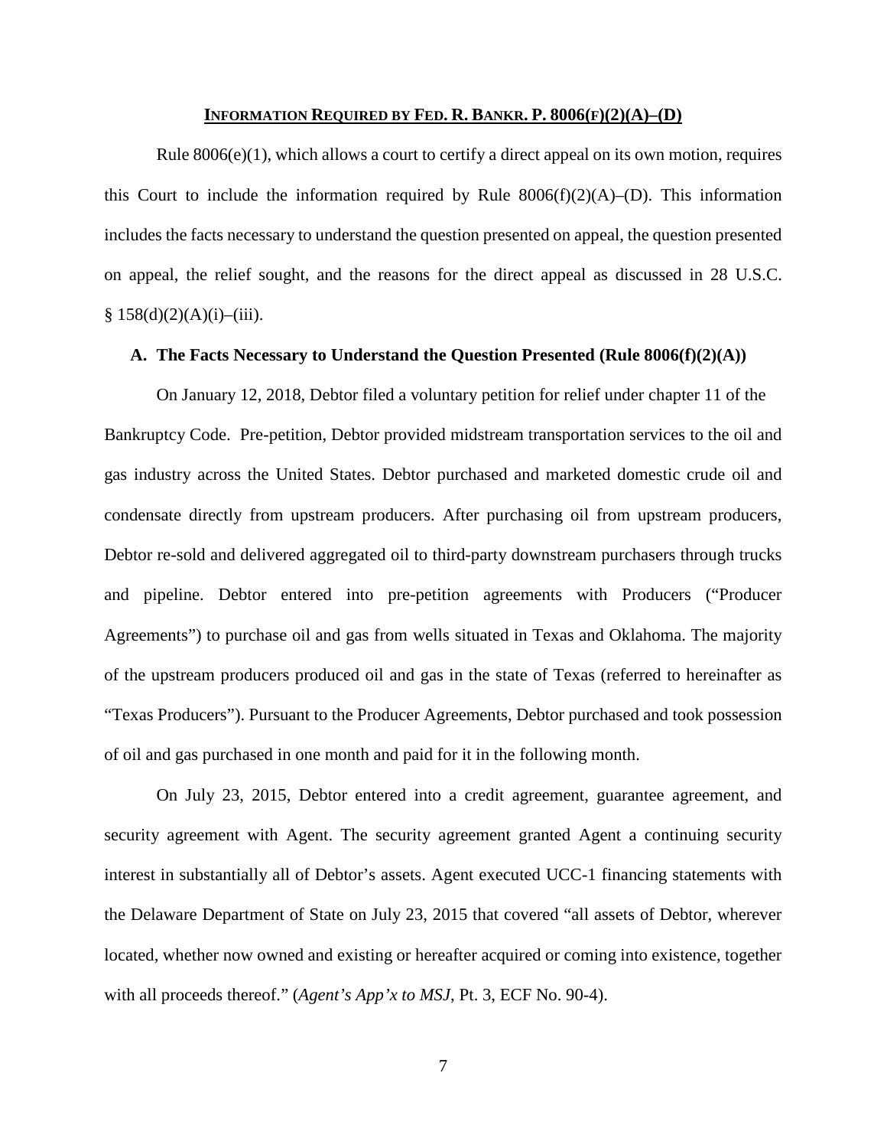#### **INFORMATION REQUIRED BY FED. R. BANKR. P. 8006(F)(2)(A)–(D)**

Rule  $8006(e)(1)$ , which allows a court to certify a direct appeal on its own motion, requires this Court to include the information required by Rule  $8006(f)(2)(A)$ –(D). This information includes the facts necessary to understand the question presented on appeal, the question presented on appeal, the relief sought, and the reasons for the direct appeal as discussed in 28 U.S.C.  $§ 158(d)(2)(A)(i)–(iii).$ 

### **A. The Facts Necessary to Understand the Question Presented (Rule 8006(f)(2)(A))**

On January 12, 2018, Debtor filed a voluntary petition for relief under chapter 11 of the Bankruptcy Code. Pre-petition, Debtor provided midstream transportation services to the oil and gas industry across the United States. Debtor purchased and marketed domestic crude oil and condensate directly from upstream producers. After purchasing oil from upstream producers, Debtor re-sold and delivered aggregated oil to third-party downstream purchasers through trucks and pipeline. Debtor entered into pre-petition agreements with Producers ("Producer Agreements") to purchase oil and gas from wells situated in Texas and Oklahoma. The majority of the upstream producers produced oil and gas in the state of Texas (referred to hereinafter as "Texas Producers"). Pursuant to the Producer Agreements, Debtor purchased and took possession of oil and gas purchased in one month and paid for it in the following month.

On July 23, 2015, Debtor entered into a credit agreement, guarantee agreement, and security agreement with Agent. The security agreement granted Agent a continuing security interest in substantially all of Debtor's assets. Agent executed UCC-1 financing statements with the Delaware Department of State on July 23, 2015 that covered "all assets of Debtor, wherever located, whether now owned and existing or hereafter acquired or coming into existence, together with all proceeds thereof." (*Agent's App'x to MSJ*, Pt. 3, ECF No. 90-4).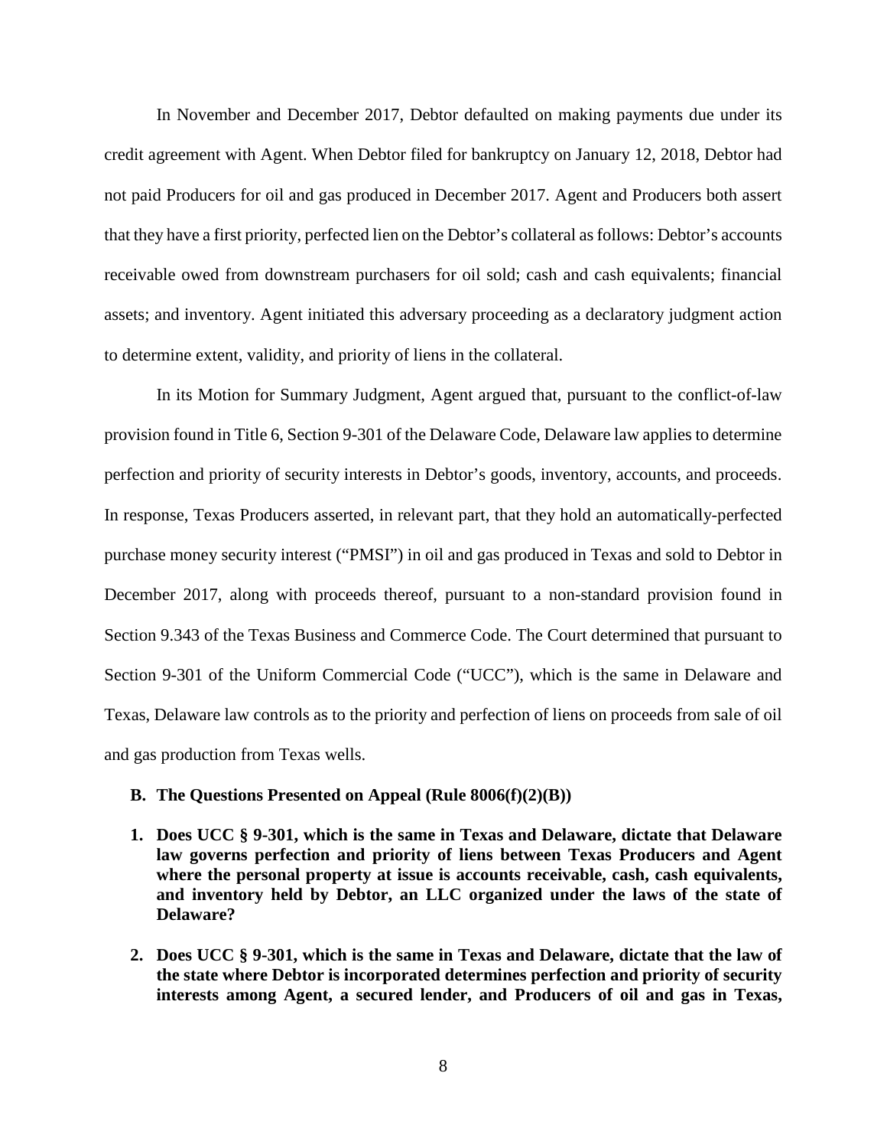In November and December 2017, Debtor defaulted on making payments due under its credit agreement with Agent. When Debtor filed for bankruptcy on January 12, 2018, Debtor had not paid Producers for oil and gas produced in December 2017. Agent and Producers both assert that they have a first priority, perfected lien on the Debtor's collateral as follows: Debtor's accounts receivable owed from downstream purchasers for oil sold; cash and cash equivalents; financial assets; and inventory. Agent initiated this adversary proceeding as a declaratory judgment action to determine extent, validity, and priority of liens in the collateral.

In its Motion for Summary Judgment, Agent argued that, pursuant to the conflict-of-law provision found in Title 6, Section 9-301 of the Delaware Code, Delaware law applies to determine perfection and priority of security interests in Debtor's goods, inventory, accounts, and proceeds. In response, Texas Producers asserted, in relevant part, that they hold an automatically-perfected purchase money security interest ("PMSI") in oil and gas produced in Texas and sold to Debtor in December 2017, along with proceeds thereof, pursuant to a non-standard provision found in Section 9.343 of the Texas Business and Commerce Code. The Court determined that pursuant to Section 9-301 of the Uniform Commercial Code ("UCC"), which is the same in Delaware and Texas, Delaware law controls as to the priority and perfection of liens on proceeds from sale of oil and gas production from Texas wells.

## **B. The Questions Presented on Appeal (Rule 8006(f)(2)(B))**

- **1. Does UCC § 9-301, which is the same in Texas and Delaware, dictate that Delaware law governs perfection and priority of liens between Texas Producers and Agent where the personal property at issue is accounts receivable, cash, cash equivalents, and inventory held by Debtor, an LLC organized under the laws of the state of Delaware?**
- **2. Does UCC § 9-301, which is the same in Texas and Delaware, dictate that the law of the state where Debtor is incorporated determines perfection and priority of security interests among Agent, a secured lender, and Producers of oil and gas in Texas,**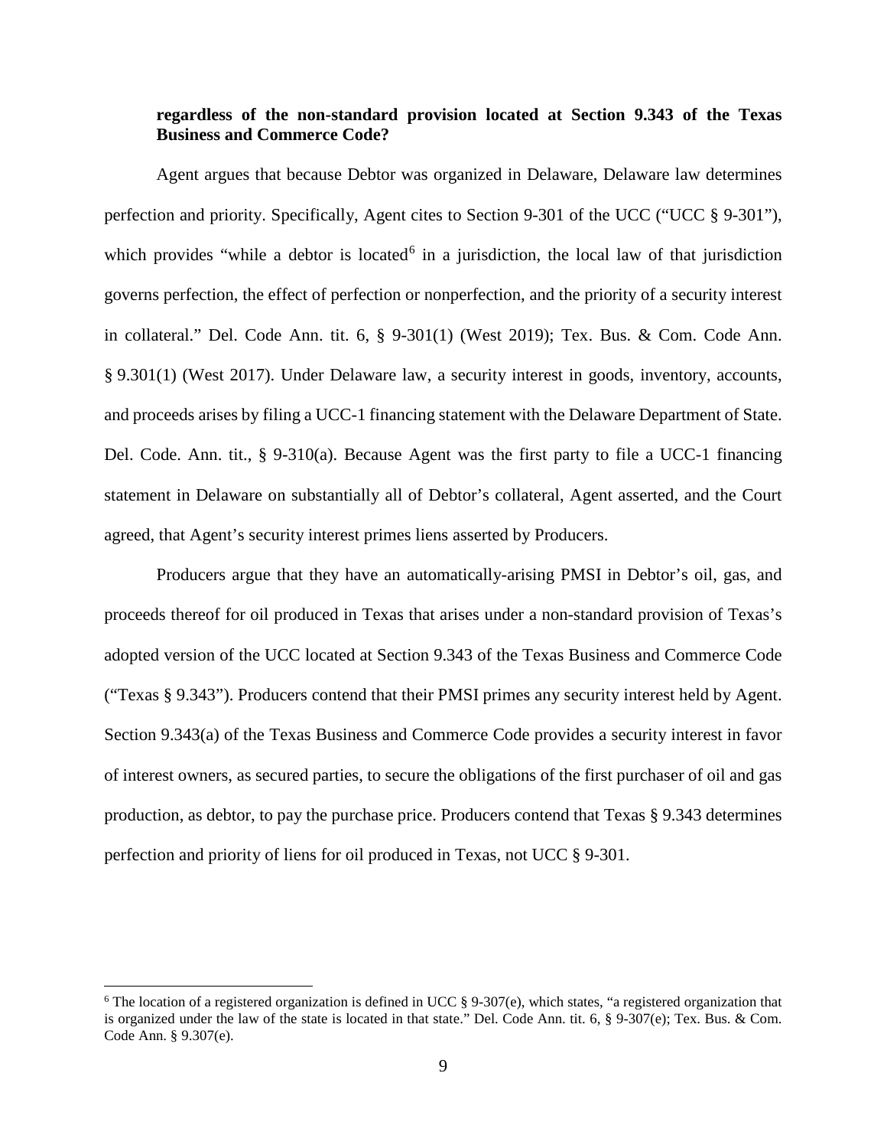# **regardless of the non-standard provision located at Section 9.343 of the Texas Business and Commerce Code?**

Agent argues that because Debtor was organized in Delaware, Delaware law determines perfection and priority. Specifically, Agent cites to Section 9-301 of the UCC ("UCC § 9-301"), which provides "while a debtor is located<sup>[6](#page-8-0)</sup> in a jurisdiction, the local law of that jurisdiction governs perfection, the effect of perfection or nonperfection, and the priority of a security interest in collateral." Del. Code Ann. tit. 6, § 9-301(1) (West 2019); Tex. Bus. & Com. Code Ann. § 9.301(1) (West 2017). Under Delaware law, a security interest in goods, inventory, accounts, and proceeds arises by filing a UCC-1 financing statement with the Delaware Department of State. Del. Code. Ann. tit., § 9-310(a). Because Agent was the first party to file a UCC-1 financing statement in Delaware on substantially all of Debtor's collateral, Agent asserted, and the Court agreed, that Agent's security interest primes liens asserted by Producers.

Producers argue that they have an automatically-arising PMSI in Debtor's oil, gas, and proceeds thereof for oil produced in Texas that arises under a non-standard provision of Texas's adopted version of the UCC located at Section 9.343 of the Texas Business and Commerce Code ("Texas § 9.343"). Producers contend that their PMSI primes any security interest held by Agent. Section 9.343(a) of the Texas Business and Commerce Code provides a security interest in favor of interest owners, as secured parties, to secure the obligations of the first purchaser of oil and gas production, as debtor, to pay the purchase price. Producers contend that Texas § 9.343 determines perfection and priority of liens for oil produced in Texas, not UCC § 9-301.

<span id="page-8-0"></span><sup>&</sup>lt;sup>6</sup> The location of a registered organization is defined in UCC  $\S$  9-307(e), which states, "a registered organization that is organized under the law of the state is located in that state." Del. Code Ann. tit. 6, § 9-307(e); Tex. Bus. & Com. Code Ann. § 9.307(e).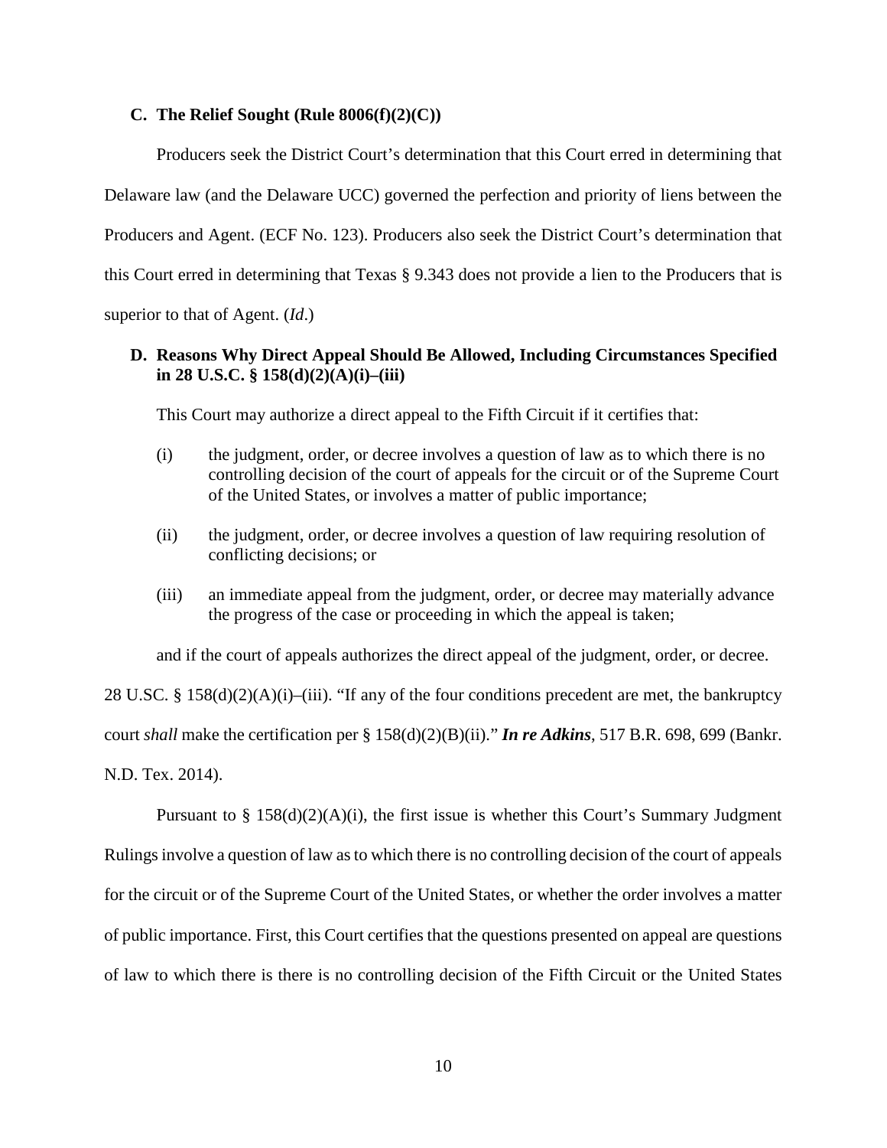## **C. The Relief Sought (Rule 8006(f)(2)(C))**

Producers seek the District Court's determination that this Court erred in determining that Delaware law (and the Delaware UCC) governed the perfection and priority of liens between the Producers and Agent. (ECF No. 123). Producers also seek the District Court's determination that this Court erred in determining that Texas § 9.343 does not provide a lien to the Producers that is superior to that of Agent. (*Id*.)

# **D. Reasons Why Direct Appeal Should Be Allowed, Including Circumstances Specified in 28 U.S.C. § 158(d)(2)(A)(i)–(iii)**

This Court may authorize a direct appeal to the Fifth Circuit if it certifies that:

- (i) the judgment, order, or decree involves a question of law as to which there is no controlling decision of the court of appeals for the circuit or of the Supreme Court of the United States, or involves a matter of public importance;
- (ii) the judgment, order, or decree involves a question of law requiring resolution of conflicting decisions; or
- (iii) an immediate appeal from the judgment, order, or decree may materially advance the progress of the case or proceeding in which the appeal is taken;

and if the court of appeals authorizes the direct appeal of the judgment, order, or decree.

28 U.SC. § 158(d)(2)(A)(i)–(iii). "If any of the four conditions precedent are met, the bankruptcy court *shall* make the certification per § 158(d)(2)(B)(ii)." *In re Adkins*, 517 B.R. 698, 699 (Bankr. N.D. Tex. 2014).

Pursuant to  $\S$  158(d)(2)(A)(i), the first issue is whether this Court's Summary Judgment Rulings involve a question of law as to which there is no controlling decision of the court of appeals for the circuit or of the Supreme Court of the United States, or whether the order involves a matter of public importance. First, this Court certifies that the questions presented on appeal are questions of law to which there is there is no controlling decision of the Fifth Circuit or the United States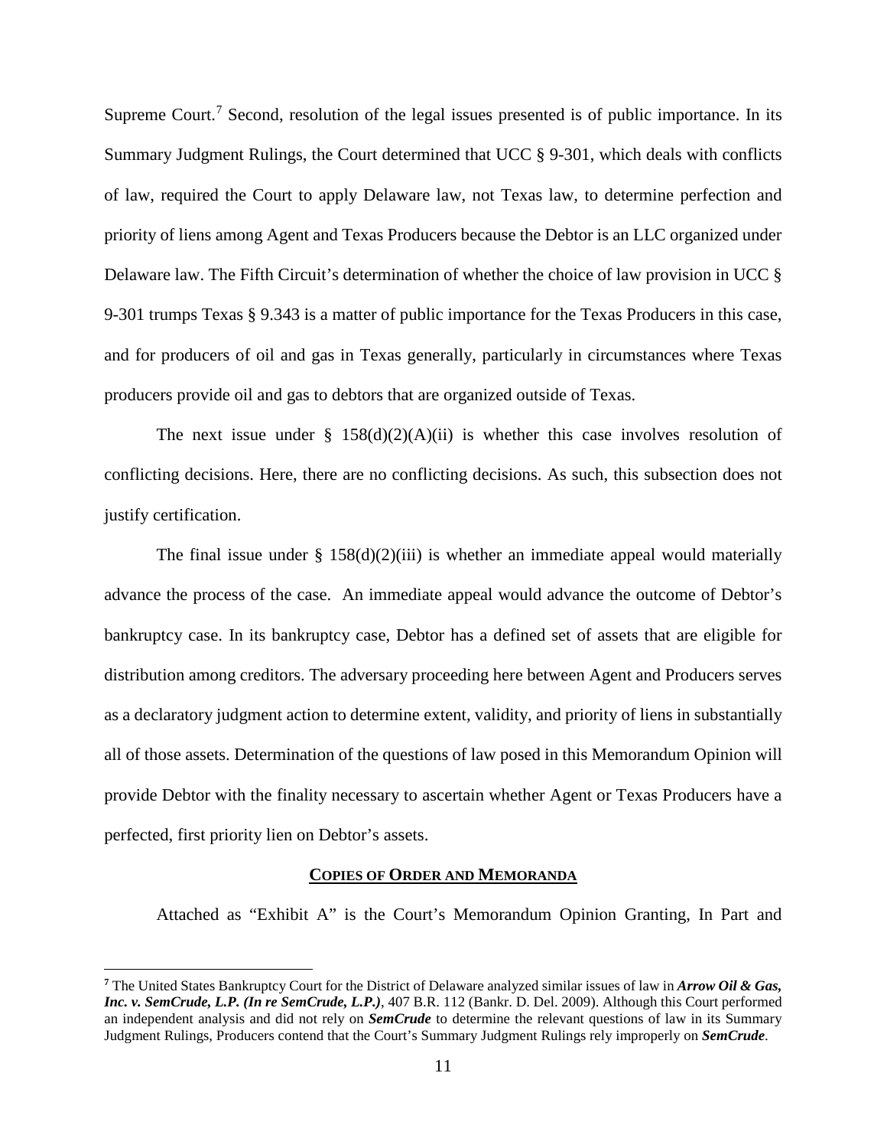Supreme Court.<sup>[7](#page-10-0)</sup> Second, resolution of the legal issues presented is of public importance. In its Summary Judgment Rulings, the Court determined that UCC § 9-301, which deals with conflicts of law, required the Court to apply Delaware law, not Texas law, to determine perfection and priority of liens among Agent and Texas Producers because the Debtor is an LLC organized under Delaware law. The Fifth Circuit's determination of whether the choice of law provision in UCC § 9-301 trumps Texas § 9.343 is a matter of public importance for the Texas Producers in this case, and for producers of oil and gas in Texas generally, particularly in circumstances where Texas producers provide oil and gas to debtors that are organized outside of Texas.

The next issue under §  $158(d)(2)(A)(ii)$  is whether this case involves resolution of conflicting decisions. Here, there are no conflicting decisions. As such, this subsection does not justify certification.

The final issue under  $\S$  158(d)(2)(iii) is whether an immediate appeal would materially advance the process of the case. An immediate appeal would advance the outcome of Debtor's bankruptcy case. In its bankruptcy case, Debtor has a defined set of assets that are eligible for distribution among creditors. The adversary proceeding here between Agent and Producers serves as a declaratory judgment action to determine extent, validity, and priority of liens in substantially all of those assets. Determination of the questions of law posed in this Memorandum Opinion will provide Debtor with the finality necessary to ascertain whether Agent or Texas Producers have a perfected, first priority lien on Debtor's assets.

#### **COPIES OF ORDER AND MEMORANDA**

Attached as "Exhibit A" is the Court's Memorandum Opinion Granting, In Part and

 $\overline{a}$ 

<span id="page-10-0"></span>**<sup>7</sup>** The United States Bankruptcy Court for the District of Delaware analyzed similar issues of law in *Arrow Oil & Gas, Inc. v. SemCrude, L.P. (In re SemCrude, L.P.)*, 407 B.R. 112 (Bankr. D. Del. 2009). Although this Court performed an independent analysis and did not rely on *SemCrude* to determine the relevant questions of law in its Summary Judgment Rulings, Producers contend that the Court's Summary Judgment Rulings rely improperly on *SemCrude*.